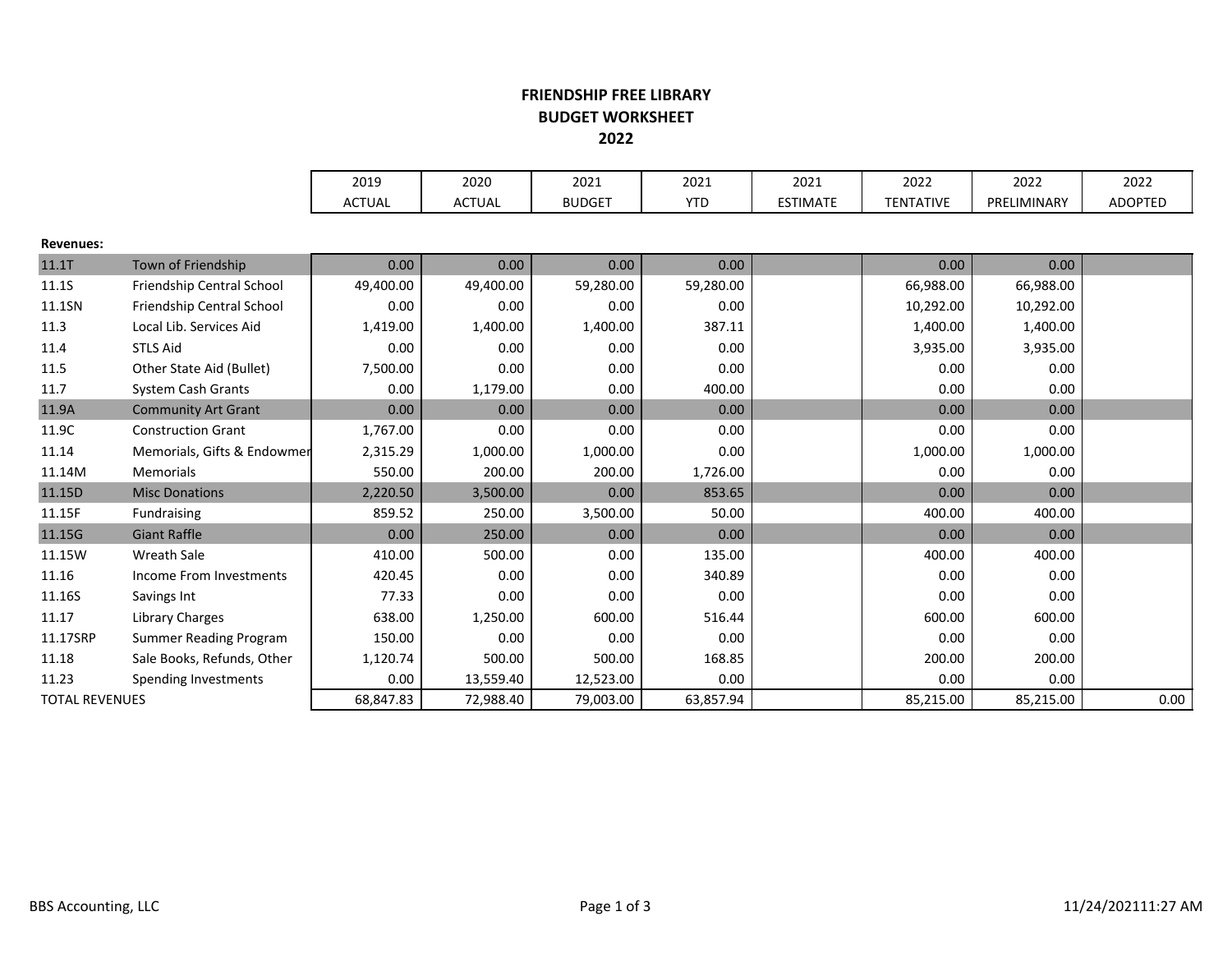## FRIENDSHIP FREE LIBRARYBUDGET WORKSHEET2022

|                       |                               | 2019          | 2020          | 2021          | 2021       | 2021            | 2022             | 2022        | 2022    |
|-----------------------|-------------------------------|---------------|---------------|---------------|------------|-----------------|------------------|-------------|---------|
|                       |                               | <b>ACTUAL</b> | <b>ACTUAL</b> | <b>BUDGET</b> | <b>YTD</b> | <b>ESTIMATE</b> | <b>TENTATIVE</b> | PRELIMINARY | ADOPTED |
|                       |                               |               |               |               |            |                 |                  |             |         |
| <b>Revenues:</b>      |                               |               |               |               |            |                 |                  |             |         |
| 11.1T                 | Town of Friendship            | 0.00          | 0.00          | 0.00          | 0.00       |                 | 0.00             | 0.00        |         |
| 11.1S                 | Friendship Central School     | 49,400.00     | 49,400.00     | 59,280.00     | 59,280.00  |                 | 66,988.00        | 66,988.00   |         |
| 11.1SN                | Friendship Central School     | 0.00          | 0.00          | 0.00          | 0.00       |                 | 10,292.00        | 10,292.00   |         |
| 11.3                  | Local Lib. Services Aid       | 1,419.00      | 1,400.00      | 1,400.00      | 387.11     |                 | 1,400.00         | 1,400.00    |         |
| 11.4                  | <b>STLS Aid</b>               | 0.00          | 0.00          | 0.00          | 0.00       |                 | 3,935.00         | 3,935.00    |         |
| 11.5                  | Other State Aid (Bullet)      | 7,500.00      | 0.00          | 0.00          | 0.00       |                 | 0.00             | 0.00        |         |
| 11.7                  | System Cash Grants            | 0.00          | 1,179.00      | 0.00          | 400.00     |                 | 0.00             | 0.00        |         |
| 11.9A                 | <b>Community Art Grant</b>    | 0.00          | 0.00          | 0.00          | 0.00       |                 | 0.00             | 0.00        |         |
| 11.9C                 | <b>Construction Grant</b>     | 1,767.00      | 0.00          | 0.00          | 0.00       |                 | 0.00             | 0.00        |         |
| 11.14                 | Memorials, Gifts & Endowmer   | 2,315.29      | 1,000.00      | 1,000.00      | 0.00       |                 | 1,000.00         | 1,000.00    |         |
| 11.14M                | Memorials                     | 550.00        | 200.00        | 200.00        | 1,726.00   |                 | 0.00             | 0.00        |         |
| 11.15D                | <b>Misc Donations</b>         | 2,220.50      | 3,500.00      | 0.00          | 853.65     |                 | 0.00             | 0.00        |         |
| 11.15F                | Fundraising                   | 859.52        | 250.00        | 3,500.00      | 50.00      |                 | 400.00           | 400.00      |         |
| 11.15G                | <b>Giant Raffle</b>           | 0.00          | 250.00        | 0.00          | 0.00       |                 | 0.00             | 0.00        |         |
| 11.15W                | Wreath Sale                   | 410.00        | 500.00        | 0.00          | 135.00     |                 | 400.00           | 400.00      |         |
| 11.16                 | Income From Investments       | 420.45        | 0.00          | 0.00          | 340.89     |                 | 0.00             | 0.00        |         |
| 11.16S                | Savings Int                   | 77.33         | 0.00          | 0.00          | 0.00       |                 | 0.00             | 0.00        |         |
| 11.17                 | Library Charges               | 638.00        | 1,250.00      | 600.00        | 516.44     |                 | 600.00           | 600.00      |         |
| 11.17SRP              | <b>Summer Reading Program</b> | 150.00        | 0.00          | 0.00          | 0.00       |                 | 0.00             | 0.00        |         |
| 11.18                 | Sale Books, Refunds, Other    | 1,120.74      | 500.00        | 500.00        | 168.85     |                 | 200.00           | 200.00      |         |
| 11.23                 | Spending Investments          | 0.00          | 13,559.40     | 12,523.00     | 0.00       |                 | 0.00             | 0.00        |         |
| <b>TOTAL REVENUES</b> |                               | 68,847.83     | 72,988.40     | 79,003.00     | 63,857.94  |                 | 85,215.00        | 85,215.00   | 0.00    |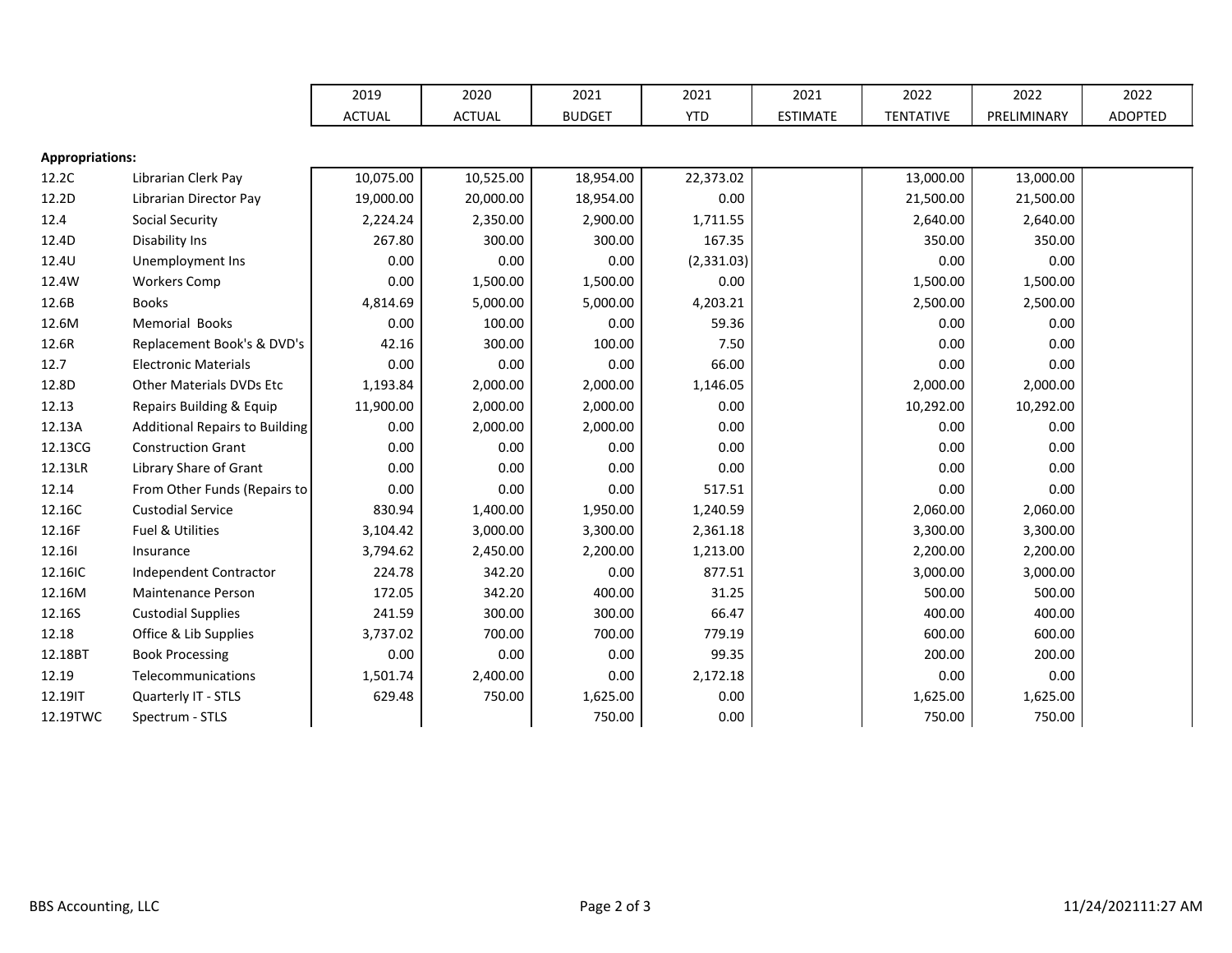|                        |                                       | 2019          | 2020          | 2021          | 2021       | 2021            | 2022             | 2022        | 2022    |
|------------------------|---------------------------------------|---------------|---------------|---------------|------------|-----------------|------------------|-------------|---------|
|                        |                                       | <b>ACTUAL</b> | <b>ACTUAL</b> | <b>BUDGET</b> | <b>YTD</b> | <b>ESTIMATE</b> | <b>TENTATIVE</b> | PRELIMINARY | ADOPTED |
|                        |                                       |               |               |               |            |                 |                  |             |         |
| <b>Appropriations:</b> |                                       |               |               |               |            |                 |                  |             |         |
| 12.2C                  | Librarian Clerk Pay                   | 10,075.00     | 10,525.00     | 18,954.00     | 22,373.02  |                 | 13,000.00        | 13,000.00   |         |
| 12.2D                  | Librarian Director Pay                | 19,000.00     | 20,000.00     | 18,954.00     | 0.00       |                 | 21,500.00        | 21,500.00   |         |
| 12.4                   | <b>Social Security</b>                | 2,224.24      | 2,350.00      | 2,900.00      | 1,711.55   |                 | 2,640.00         | 2,640.00    |         |
| 12.4D                  | Disability Ins                        | 267.80        | 300.00        | 300.00        | 167.35     |                 | 350.00           | 350.00      |         |
| 12.4U                  | Unemployment Ins                      | 0.00          | 0.00          | 0.00          | (2,331.03) |                 | 0.00             | 0.00        |         |
| 12.4W                  | <b>Workers Comp</b>                   | 0.00          | 1,500.00      | 1,500.00      | 0.00       |                 | 1,500.00         | 1,500.00    |         |
| 12.6B                  | <b>Books</b>                          | 4,814.69      | 5,000.00      | 5,000.00      | 4,203.21   |                 | 2,500.00         | 2,500.00    |         |
| 12.6M                  | <b>Memorial Books</b>                 | 0.00          | 100.00        | 0.00          | 59.36      |                 | 0.00             | 0.00        |         |
| 12.6R                  | Replacement Book's & DVD's            | 42.16         | 300.00        | 100.00        | 7.50       |                 | 0.00             | 0.00        |         |
| 12.7                   | <b>Electronic Materials</b>           | 0.00          | 0.00          | 0.00          | 66.00      |                 | 0.00             | 0.00        |         |
| 12.8D                  | Other Materials DVDs Etc              | 1,193.84      | 2,000.00      | 2,000.00      | 1,146.05   |                 | 2,000.00         | 2,000.00    |         |
| 12.13                  | Repairs Building & Equip              | 11,900.00     | 2,000.00      | 2,000.00      | 0.00       |                 | 10,292.00        | 10,292.00   |         |
| 12.13A                 | <b>Additional Repairs to Building</b> | 0.00          | 2,000.00      | 2,000.00      | 0.00       |                 | 0.00             | 0.00        |         |
| 12.13CG                | <b>Construction Grant</b>             | 0.00          | 0.00          | 0.00          | 0.00       |                 | 0.00             | 0.00        |         |
| 12.13LR                | Library Share of Grant                | 0.00          | 0.00          | 0.00          | 0.00       |                 | 0.00             | 0.00        |         |
| 12.14                  | From Other Funds (Repairs to          | 0.00          | 0.00          | 0.00          | 517.51     |                 | 0.00             | 0.00        |         |
| 12.16C                 | <b>Custodial Service</b>              | 830.94        | 1,400.00      | 1,950.00      | 1,240.59   |                 | 2,060.00         | 2,060.00    |         |
| 12.16F                 | Fuel & Utilities                      | 3,104.42      | 3,000.00      | 3,300.00      | 2,361.18   |                 | 3,300.00         | 3,300.00    |         |
| 12.161                 | Insurance                             | 3,794.62      | 2,450.00      | 2,200.00      | 1,213.00   |                 | 2,200.00         | 2,200.00    |         |
| 12.16IC                | Independent Contractor                | 224.78        | 342.20        | 0.00          | 877.51     |                 | 3,000.00         | 3,000.00    |         |
| 12.16M                 | <b>Maintenance Person</b>             | 172.05        | 342.20        | 400.00        | 31.25      |                 | 500.00           | 500.00      |         |
| 12.16S                 | <b>Custodial Supplies</b>             | 241.59        | 300.00        | 300.00        | 66.47      |                 | 400.00           | 400.00      |         |
| 12.18                  | Office & Lib Supplies                 | 3,737.02      | 700.00        | 700.00        | 779.19     |                 | 600.00           | 600.00      |         |
| 12.18BT                | <b>Book Processing</b>                | 0.00          | 0.00          | 0.00          | 99.35      |                 | 200.00           | 200.00      |         |
| 12.19                  | Telecommunications                    | 1,501.74      | 2,400.00      | 0.00          | 2,172.18   |                 | 0.00             | 0.00        |         |
| 12.19IT                | Quarterly IT - STLS                   | 629.48        | 750.00        | 1,625.00      | 0.00       |                 | 1,625.00         | 1,625.00    |         |
| 12.19TWC               | Spectrum - STLS                       |               |               | 750.00        | 0.00       |                 | 750.00           | 750.00      |         |